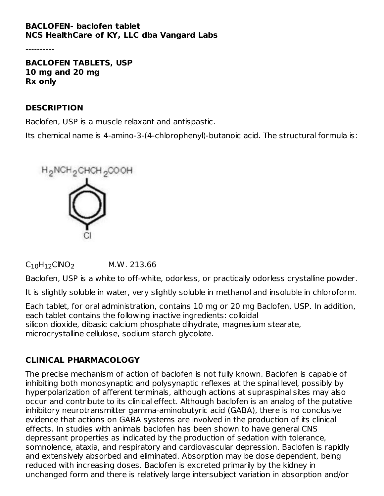### **BACLOFEN- baclofen tablet NCS HealthCare of KY, LLC dba Vangard Labs**

----------

**BACLOFEN TABLETS, USP 10 mg and 20 mg Rx only**

#### **DESCRIPTION**

Baclofen, USP is a muscle relaxant and antispastic.

Its chemical name is 4-amino-3-(4-chlorophenyl)-butanoic acid. The structural formula is:



 $C_{10}H_{12}$ CINO<sub>2</sub> M.W. 213.66

Baclofen, USP is a white to off-white, odorless, or practically odorless crystalline powder.

It is slightly soluble in water, very slightly soluble in methanol and insoluble in chloroform.

Each tablet, for oral administration, contains 10 mg or 20 mg Baclofen, USP. In addition, each tablet contains the following inactive ingredients: colloidal silicon dioxide, dibasic calcium phosphate dihydrate, magnesium stearate, microcrystalline cellulose, sodium starch glycolate.

## **CLINICAL PHARMACOLOGY**

The precise mechanism of action of baclofen is not fully known. Baclofen is capable of inhibiting both monosynaptic and polysynaptic reflexes at the spinal level, possibly by hyperpolarization of afferent terminals, although actions at supraspinal sites may also occur and contribute to its clinical effect. Although baclofen is an analog of the putative inhibitory neurotransmitter gamma-aminobutyric acid (GABA), there is no conclusive evidence that actions on GABA systems are involved in the production of its clinical effects. In studies with animals baclofen has been shown to have general CNS depressant properties as indicated by the production of sedation with tolerance, somnolence, ataxia, and respiratory and cardiovascular depression. Baclofen is rapidly and extensively absorbed and eliminated. Absorption may be dose dependent, being reduced with increasing doses. Baclofen is excreted primarily by the kidney in unchanged form and there is relatively large intersubject variation in absorption and/or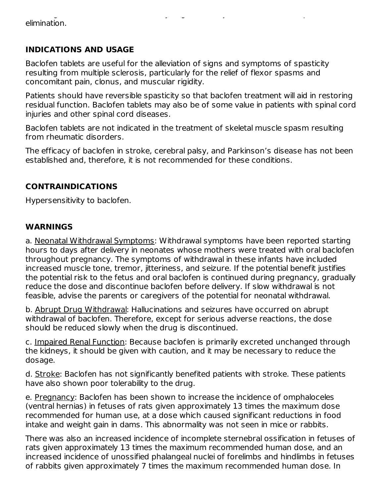unchanged for the is relatively large intersubject variation intersubject variation in absorption  $\mathcal{L}$ elimination.

## **INDICATIONS AND USAGE**

Baclofen tablets are useful for the alleviation of signs and symptoms of spasticity resulting from multiple sclerosis, particularly for the relief of flexor spasms and concomitant pain, clonus, and muscular rigidity.

Patients should have reversible spasticity so that baclofen treatment will aid in restoring residual function. Baclofen tablets may also be of some value in patients with spinal cord injuries and other spinal cord diseases.

Baclofen tablets are not indicated in the treatment of skeletal muscle spasm resulting from rheumatic disorders.

The efficacy of baclofen in stroke, cerebral palsy, and Parkinson's disease has not been established and, therefore, it is not recommended for these conditions.

## **CONTRAINDICATIONS**

Hypersensitivity to baclofen.

## **WARNINGS**

a. Neonatal Withdrawal Symptoms: Withdrawal symptoms have been reported starting hours to days after delivery in neonates whose mothers were treated with oral baclofen throughout pregnancy. The symptoms of withdrawal in these infants have included increased muscle tone, tremor, jitteriness, and seizure. If the potential benefit justifies the potential risk to the fetus and oral baclofen is continued during pregnancy, gradually reduce the dose and discontinue baclofen before delivery. If slow withdrawal is not feasible, advise the parents or caregivers of the potential for neonatal withdrawal.

b. Abrupt Drug Withdrawal: Hallucinations and seizures have occurred on abrupt withdrawal of baclofen. Therefore, except for serious adverse reactions, the dose should be reduced slowly when the drug is discontinued.

c. Impaired Renal Function: Because baclofen is primarily excreted unchanged through the kidneys, it should be given with caution, and it may be necessary to reduce the dosage.

d. Stroke: Baclofen has not significantly benefited patients with stroke. These patients have also shown poor tolerability to the drug.

e. Pregnancy: Baclofen has been shown to increase the incidence of omphaloceles (ventral hernias) in fetuses of rats given approximately 13 times the maximum dose recommended for human use, at a dose which caused significant reductions in food intake and weight gain in dams. This abnormality was not seen in mice or rabbits.

There was also an increased incidence of incomplete sternebral ossification in fetuses of rats given approximately 13 times the maximum recommended human dose, and an increased incidence of unossified phalangeal nuclei of forelimbs and hindlimbs in fetuses of rabbits given approximately 7 times the maximum recommended human dose. In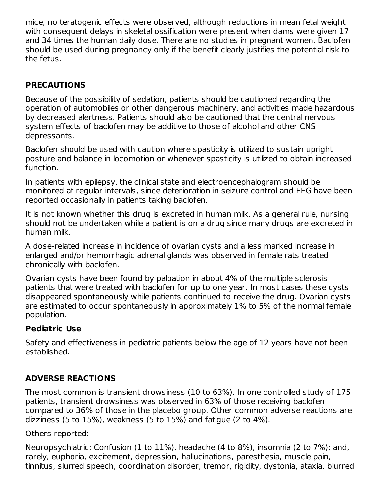mice, no teratogenic effects were observed, although reductions in mean fetal weight with consequent delays in skeletal ossification were present when dams were given 17 and 34 times the human daily dose. There are no studies in pregnant women. Baclofen should be used during pregnancy only if the benefit clearly justifies the potential risk to the fetus.

## **PRECAUTIONS**

Because of the possibility of sedation, patients should be cautioned regarding the operation of automobiles or other dangerous machinery, and activities made hazardous by decreased alertness. Patients should also be cautioned that the central nervous system effects of baclofen may be additive to those of alcohol and other CNS depressants.

Baclofen should be used with caution where spasticity is utilized to sustain upright posture and balance in locomotion or whenever spasticity is utilized to obtain increased function.

In patients with epilepsy, the clinical state and electroencephalogram should be monitored at regular intervals, since deterioration in seizure control and EEG have been reported occasionally in patients taking baclofen.

It is not known whether this drug is excreted in human milk. As a general rule, nursing should not be undertaken while a patient is on a drug since many drugs are excreted in human milk.

A dose-related increase in incidence of ovarian cysts and a less marked increase in enlarged and/or hemorrhagic adrenal glands was observed in female rats treated chronically with baclofen.

Ovarian cysts have been found by palpation in about 4% of the multiple sclerosis patients that were treated with baclofen for up to one year. In most cases these cysts disappeared spontaneously while patients continued to receive the drug. Ovarian cysts are estimated to occur spontaneously in approximately 1% to 5% of the normal female population.

## **Pediatric Use**

Safety and effectiveness in pediatric patients below the age of 12 years have not been established.

## **ADVERSE REACTIONS**

The most common is transient drowsiness (10 to 63%). In one controlled study of 175 patients, transient drowsiness was observed in 63% of those receiving baclofen compared to 36% of those in the placebo group. Other common adverse reactions are dizziness (5 to 15%), weakness (5 to 15%) and fatigue (2 to 4%).

Others reported:

Neuropsychiatric: Confusion (1 to 11%), headache (4 to 8%), insomnia (2 to 7%); and, rarely, euphoria, excitement, depression, hallucinations, paresthesia, muscle pain, tinnitus, slurred speech, coordination disorder, tremor, rigidity, dystonia, ataxia, blurred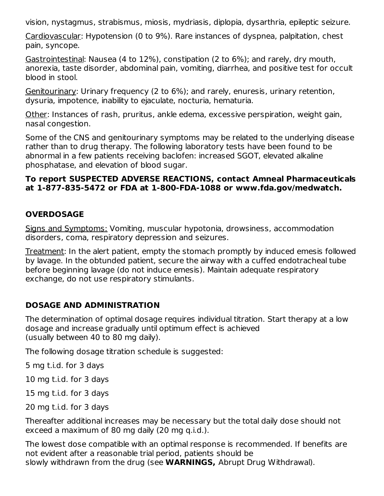vision, nystagmus, strabismus, miosis, mydriasis, diplopia, dysarthria, epileptic seizure.

Cardiovascular: Hypotension (0 to 9%). Rare instances of dyspnea, palpitation, chest pain, syncope.

Gastrointestinal: Nausea (4 to 12%), constipation (2 to 6%); and rarely, dry mouth, anorexia, taste disorder, abdominal pain, vomiting, diarrhea, and positive test for occult blood in stool.

Genitourinary: Urinary frequency (2 to 6%); and rarely, enuresis, urinary retention, dysuria, impotence, inability to ejaculate, nocturia, hematuria.

Other: Instances of rash, pruritus, ankle edema, excessive perspiration, weight gain, nasal congestion.

Some of the CNS and genitourinary symptoms may be related to the underlying disease rather than to drug therapy. The following laboratory tests have been found to be abnormal in a few patients receiving baclofen: increased SGOT, elevated alkaline phosphatase, and elevation of blood sugar.

#### **To report SUSPECTED ADVERSE REACTIONS, contact Amneal Pharmaceuticals at 1-877-835-5472 or FDA at 1-800-FDA-1088 or www.fda.gov/medwatch.**

## **OVERDOSAGE**

Signs and Symptoms: Vomiting, muscular hypotonia, drowsiness, accommodation disorders, coma, respiratory depression and seizures.

Treatment: In the alert patient, empty the stomach promptly by induced emesis followed by lavage. In the obtunded patient, secure the airway with a cuffed endotracheal tube before beginning lavage (do not induce emesis). Maintain adequate respiratory exchange, do not use respiratory stimulants.

## **DOSAGE AND ADMINISTRATION**

The determination of optimal dosage requires individual titration. Start therapy at a low dosage and increase gradually until optimum effect is achieved (usually between 40 to 80 mg daily).

The following dosage titration schedule is suggested:

5 mg t.i.d. for 3 days

10 mg t.i.d. for 3 days

15 mg t.i.d. for 3 days

20 mg t.i.d. for 3 days

Thereafter additional increases may be necessary but the total daily dose should not exceed a maximum of 80 mg daily (20 mg q.i.d.).

The lowest dose compatible with an optimal response is recommended. If benefits are not evident after a reasonable trial period, patients should be slowly withdrawn from the drug (see **WARNINGS,** Abrupt Drug Withdrawal).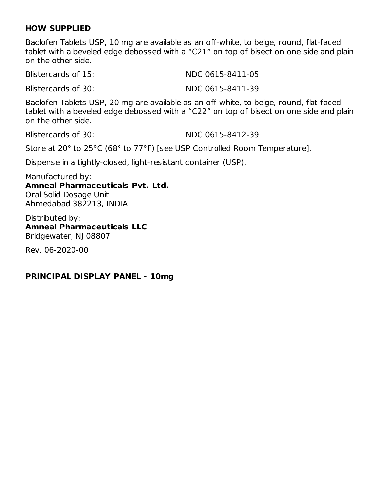#### **HOW SUPPLIED**

Baclofen Tablets USP, 10 mg are available as an off-white, to beige, round, flat-faced tablet with a beveled edge debossed with a "C21" on top of bisect on one side and plain on the other side.

Blistercards of 15: NDC 0615-8411-05

Blistercards of 30: NDC 0615-8411-39

Baclofen Tablets USP, 20 mg are available as an off-white, to beige, round, flat-faced tablet with a beveled edge debossed with a "C22" on top of bisect on one side and plain on the other side.

Blistercards of 30: NDC 0615-8412-39

Store at 20° to 25°C (68° to 77°F) [see USP Controlled Room Temperature].

Dispense in a tightly-closed, light-resistant container (USP).

Manufactured by: **Amneal Pharmaceuticals Pvt. Ltd.** Oral Solid Dosage Unit Ahmedabad 382213, INDIA

Distributed by: **Amneal Pharmaceuticals LLC** Bridgewater, NJ 08807

Rev. 06-2020-00

#### **PRINCIPAL DISPLAY PANEL - 10mg**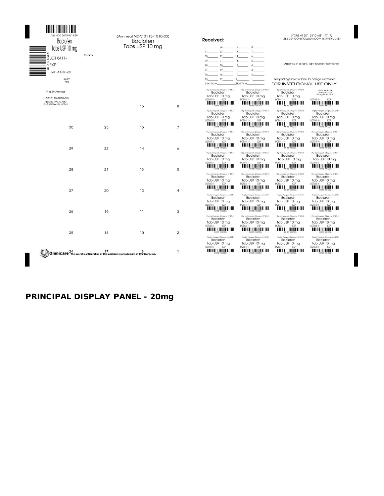| <b>Baclofen</b>                                                                                                             |         | (Amneal NDC 0115-1010-03)<br><b>Baclofen</b>                                               |                | Received:                                                                                                                                                                                                                           |                                                                                                                                                                                                                                                                                                                           | STORE AT 20° - 25° C (68° - 77° F)<br>(SEE USP CONTROLLED ROOM TEMPERATURE)                                                                       |
|-----------------------------------------------------------------------------------------------------------------------------|---------|--------------------------------------------------------------------------------------------|----------------|-------------------------------------------------------------------------------------------------------------------------------------------------------------------------------------------------------------------------------------|---------------------------------------------------------------------------------------------------------------------------------------------------------------------------------------------------------------------------------------------------------------------------------------------------------------------------|---------------------------------------------------------------------------------------------------------------------------------------------------|
| Tabs USP 10 mg<br>ॗॗ<br>ॗॗ <u>३</u><br>ॗ॒॒ <u>8</u> ∟ा 8411-<br>$=$ $\circ$<br>⊟ l exp<br>ia<br>8411-AA-39 v00<br>QTY<br>30 | Rx only | Tabs USP 10 mg                                                                             |                | $24 \t\t 16 \t\t 8$<br>23 15 7<br>31<br>30 22 14 6<br>29 21 13 5<br>28 20 12 4<br>27 19 11 3<br>$26 \t\t 18 \t\t 10$<br>25 17 9<br>$\sim$ 1.<br>Start Time<br>Start Date                                                            | See package insert or label for dosage information<br>FOR INSTITUTIONAL USE ONLY                                                                                                                                                                                                                                          | Dispense in a tight, light-resistant container.                                                                                                   |
| Mfg By Amneal<br>(NDC 0115-1010-03)<br>PKG BY VANGARD<br>GLASGOW, KY 42141                                                  |         | 16                                                                                         | 8              | Pkg by Vangord, Glosgow, KY 42141<br><b>Baclofen</b><br>Baclofen<br>Tab USP 10 mg<br>Tab USP 10 mg<br>LOT 8411-<br>LOT 8411 -<br>EXP<br><u> HELHINI HII HII HII HII HII </u>                                                        | Pkg by Vangard, Glasgow, KY 42141<br>Pkg by Vongord, Glosgow, KY 42141<br>Baclofen<br>Tab USP 10 mg<br>EXP<br>LOT 8411-<br>EXP                                                                                                                                                                                            | 8411-AA-B-v00<br>Vangard Labs<br>Glasgow, KY 42141<br>LOT 8411-<br>EXP<br><u> HELBITI III HIII HIII HIII HII</u>                                  |
| 30                                                                                                                          | 23      | 15                                                                                         | $\overline{7}$ | Pkg by Vangord, Glosgow, KY 42141<br><b>Baclofen</b><br><b>Baclofen</b><br>Tab USP 10 mg<br>Tab USP 10 mg<br>LOT 8411 -<br>LOT 8411- EXP<br>EXP<br><u> 11   11   11   11   11   11   11</u><br>Pkg by Vangord, Glosgow, KY 42141    | Pkg by Vangord, Glasgow, KY 42141<br>Rig by Vangard, Glasgow, KY 42141<br>Baclofen<br>Tab USP 10 mg<br>LOT 8411-<br>EXP<br><u> A BEN MENTI I A BIT DI BIT DI BIT DI BIT DI BIT DI BIT DI BIT DI BIT DI BIT DI BIT DI BIT DI BIT DI BIT DI B</u><br>Pkg by Vangard, Glasgow, KY 42141<br>Pkg by Vangard, Glasgow, KY 42141 | Pig by Vangard, Glasgow, KY 42141<br><b>Baclofen</b><br>Tab USP 10 mg<br>LOT 8411- EXP<br>Pkg by Vangard, Glasgow, KY 42141                       |
| 29                                                                                                                          | 22      | 14                                                                                         | 6              | <b>Baclofen</b><br><b>Baclofen</b><br>Tab USP 10 mg<br>Tab USP 10 mg<br>LOT 8411 - EXP<br>LOT 8411- EXP<br><u> HELLIN HELLIN HELLIN</u><br>Pkg by Vangord, Glosgow, KY 42141                                                        | <b>Baclofen</b><br>Tab USP 10 mg<br>LOT 8411-<br>EXP<br><u> A TIMATI A MATEMATI A TIM</u><br><u> A BENDARI INI MENENI AMB</u><br>Pleg by Vangard, Glasgow, KY 42141<br>Pleg by Vangard, Glasgow, KY 42141                                                                                                                 | <b>Baclofen</b><br>Tab USP 10 mg<br>LOT 8411-<br>EXP<br><u> HELBITI III III III III III III </u><br>Pkg by Vongord, Glasgow, KY 42141             |
| 28                                                                                                                          | 21      | 13                                                                                         | 5              | <b>Baclofen</b><br><b>Baclofen</b><br>Tab USP 10 mg<br>Tab USP 10 mg<br>LOT 8411-<br><b>FXP</b><br>LOT 8411-<br><u> HELBITI III III III III III III </u><br>Pkg by Vangord, Glosgow, KY 42141<br><b>Baclofen</b><br><b>Baclofen</b> | <b>Baclofen</b><br>Tab USP 10 mg<br><b>EXP</b><br>LOT 8411- EXP<br><u> HELHILII III III III III</u><br><u> A BENDININ INI MUTULI AN</u><br>Pkg by Vangard, Glasgow, KY 42141<br>Rig by Vangard, Glasgow, KY 42141<br><b>Baclofen</b>                                                                                      | <b>Baclofen</b><br>Tab USP 10 mg<br>LOT 8411- EXP<br><u> HELBITI III III III III III </u><br>Pkg by Vangerd, Glasgow, KY 42141<br><b>Baclofen</b> |
| 27                                                                                                                          | 20      | 12                                                                                         | 4              | Tab USP 10 ma<br>Tab USP 10 ma<br>LOT 8411- EXP<br>LOT 8411- EXP<br><u> HTTII II II II II II II II II</u><br>Pkg by Vangord, Glasgow, KY 42141                                                                                      | Tab USP 10 ma<br>LOT 8411-<br>EXP<br>Pkg by Vongord, Glasgow, KY 42141<br>Rig by Vangard, Glasgow, KY 42141                                                                                                                                                                                                               | Tab USP 10 ma<br>LOT 8411- EXP<br><u> ANTIHITI ANIMI ANIMI ANI</u><br>Pleg by Vangard, Glasgow, KY 42141                                          |
| 26                                                                                                                          | 19      | 11                                                                                         | 3              | <b>Baclofen</b><br><b>Baclofen</b><br>Tab USP 10 mg<br>Tab USP 10 mg<br>LOT 8411-<br>EXP<br>LOT 8411-<br>Pkg by Vangard, Glasgow, KY 42141                                                                                          | <b>Baclofen</b><br>Tab USP 10 mg<br>EXP<br>LOT 8411-<br>EXP<br>111111111111111111111111<br>Pkg by Vangard, Glasgow, KY 42141<br>Pkg by Vangard, Glasgow, KY 42141                                                                                                                                                         | <b>Baclofen</b><br>Tab USP 10 mg<br>LOT 8411-<br>EXP<br>Pkg by Vangard, Glasgow, KY 42141                                                         |
| 25                                                                                                                          | 18      | 10                                                                                         | $\overline{2}$ | <b>Baclofen</b><br><b>Baclofen</b><br>Tab USP 10 mg<br>Tab USP 10 mg<br>LOT 8411 - EXP<br>LOT 8411- EXP<br><u> HELLIN I HELLIN I HELL</u>                                                                                           | <b>Baclofen</b><br>Tab USP 10 mg<br>LOT 8411- EXP<br><u> HELHILLI III III III III III </u><br><u> HIIIIIIIIIIIIIIIIIIIIII</u>                                                                                                                                                                                             | <b>Baclofen</b><br>Tab USP 10 mg<br>LOT 8411- EXP<br><u> HELBITI I HELBITI I HEL</u>                                                              |
|                                                                                                                             | 17      | <b>Omnicare</b> The overall configuration of this package is a trademark of Omnicare, Inc. | $\mathbf{1}$   | Pkg by Vangord, Glosgow, KY 42141<br><b>Baclofen</b><br>Tab USP 10 mg<br>Tab USP 10 mg<br>LOT 8411- EXP<br>LOT 8411 - EXP<br><u> HELLIN I HAN HAN HELL</u>                                                                          | Pkg by Vongord, Glasgow, KY 42141<br>Rig by Vangard, Glasgow, KY 42141<br><b>Baclofen</b><br>Baclofen<br>Tab USP 10 mg<br>LOT 8411- EXP<br><u> HELBIH III III III III III III </u>                                                                                                                                        | Pleg by Vangard, Glasgow, KY 42141<br><b>Baclofen</b><br>Tab USP 10 mg<br>LOT 8411- EXP                                                           |

## **PRINCIPAL DISPLAY PANEL - 20mg**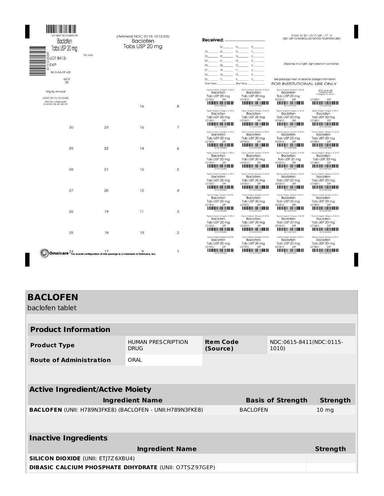| /LI NDC 0615-8412-39<br><b>Baclofen</b><br>Tabs USP 20 mg                             |         | (Amneal NDC 0115-1012-03)<br><b>Baclofen</b><br>Tabs USP 20 mg |                | Received:<br>$24 \qquad \qquad 16 \qquad \qquad 8 \qquad \qquad$                                                                                                                                 | STORE AT 20° - 25°C (68° - 77° F)<br>(SEE USP CONTROLLED ROOM TEMPERATURE)                                                                |                                                                                                               |
|---------------------------------------------------------------------------------------|---------|----------------------------------------------------------------|----------------|--------------------------------------------------------------------------------------------------------------------------------------------------------------------------------------------------|-------------------------------------------------------------------------------------------------------------------------------------------|---------------------------------------------------------------------------------------------------------------|
| RLOT 8412-<br>≣⊡EXP<br>5<br>8412-AA-39 v00<br>QTY<br>30                               | Rx only |                                                                |                | $23$ $15$ $7$<br>31<br>$22$ 14 6<br>30<br>29 21 13 5<br>28 20 12 4<br>27 19 11 3<br>$26$ 18 10 2<br>$17 - 9$<br>$\frac{1}{2}$<br>25<br>Start Date Start Time                                     | Dispense in a tight, light-resistant container<br>See package insert or label for dosage information<br><b>FOR INSTITUTIONAL USE ONLY</b> |                                                                                                               |
| Mfg By Amneal                                                                         |         |                                                                |                | Pkg by Vangord, Glosgow, KY 42141<br>Pkg by Vangord, Glasgow, KY 42141<br><b>Baclofen</b><br><b>Baclofen</b><br>Tab USP 20 mg<br>Tab USP 20 mg                                                   | Pkg by Vongold, Glosgow, KY 42141<br><b>Baclofen</b><br>Tab USP 20 mg                                                                     | 8412-AA-B-v00<br>Vangard Labs<br>Glasgow, KY 42141                                                            |
| (NDC 0115-1012-03)<br>PKG BY VANGARD<br>GLASGOW, KY 42141                             |         | 16                                                             | 8              | LOT 8412 -<br>LOT 8412- EXP<br>EXP                                                                                                                                                               | LOT 8412-<br>EXP<br><u> III III III III III II III III III </u>                                                                           | LOT 8412 -<br><b>EYP</b><br><u> A TALIH ALIMIN ANIT ANIT ANI</u>                                              |
|                                                                                       |         |                                                                |                | Pkg by Vangord, Glosgow, KY 42141<br>Pkg by Vangard, Glasgow, KY 42141<br><b>Baclofen</b><br><b>Baclofen</b><br>Tab USP 20 mg<br>Tab USP 20 mg<br>LOT 8412 - EXP<br>LOT 8412 -<br>EXP            | Pkg by Vongord, Glosgow, KY 42141<br>Baclofen<br>Tab USP 20 mg<br>LOT 8412 -<br>EXP                                                       | Rig by Vangard, Glasgow, KY 42141<br><b>Baclofen</b><br>Tab USP 20 mg<br>LOT 8412 -<br>EXP                    |
| 30                                                                                    | 23      | 15                                                             | $\overline{7}$ | Pkg by Vangord, Glosgow, KY 42141<br>Pkg by Vangard, Glasgow, KY 42141<br>Baclofen<br><b>Baclofen</b><br>Tab USP 20 mg<br>Tab USP 20 mg<br>LOT 8412- EXP<br>LOT 8412 -<br>EXP                    | Pkg by Vangard, Glasgow, KY 42141<br>Baclofen<br>Tab USP 20 mg<br>LOT 8412 -<br>EXP                                                       | Pkg by Vangard, Glasgow, KY 42141<br><b>Baclofen</b><br>Tab USP 20 ma<br>LOT 8412- EXP                        |
| 29                                                                                    | 22      | 14                                                             | 6              | Pkg by Vangord, Glosgow, KY 42141<br>Pkg by Vangard, Glasgow, KY 42141<br><b>Baclofen</b><br><b>Baclofen</b><br>Tab USP 20 mg<br>Tab USP 20 mg<br>LOT 8412- EXP<br>LOT 8412 -<br>EXP             | Pkg by Vangard, Glasgow, KY 42141<br>Baclofen<br>Tab USP 20 mg<br>LOT 8412 -<br>EXP                                                       | Pkg by Vongord, Glasgow, KY 42141<br>Baclofen<br>Tab USP 20 mg<br>LOT 8412- EXP                               |
| 28                                                                                    | 21      | 13                                                             | 5              | <u> A BEN DE LA TENENTA DE LA TENENTA DE L</u><br>Pkg by Vangord, Glosgow, KY 42141<br>Pkg by Vangard, Glasgow, KY 42141<br><b>Baclofen</b><br><b>Baclofen</b><br>Tab USP 20 mg<br>Tab USP 20 mg | <u> HIIIIIIIIIIIIIIIIIIIIIIII</u><br>Pkg by Vongord, Glasgow, KY 42141<br>Baclofen<br>Tab USP 20 mg                                       | <u> A BELITTI LITTI LITTI TITLEH</u><br>Pkg by Vangerd, Glasgow, KY 42141<br><b>Baclofen</b><br>Tab USP 20 mg |
| 27                                                                                    | 20      | 12                                                             | $\overline{a}$ | LOT 8412 -<br>EXP<br>LOT 8412 -<br>EXP<br><u> HELLINI I HELLINI I HELLIN</u><br>Pkg by Vangord, Glasgow, KY 42141<br>Pkg by Vangard, Glasgow, KY 42141                                           | LOT 8412 -<br>EXP<br>Rigiby Vangard, Glasgow, KY 42141                                                                                    | LOT 8412 -<br>EXP<br>Pleg by Vangard, Glasgow, KY 42141                                                       |
| 26                                                                                    | 19      | 11                                                             | 3              | <b>Baclofen</b><br><b>Baclofen</b><br>Tab USP 20 mg<br>Tab USP 20 mg<br>LOT 8412 -<br>EXP<br>LOT 8412 -<br>EXP<br><u>TITULITII ILITTII TITLEILI</u><br><u> HIIIIIIIIIIIIIIIIIIIIIII</u>          | Baclofen<br>Tab USP 20 ma<br>LOT 8412 -<br>EXP<br><u>HIIIIIIIIIIIIIIIIIIIIII</u>                                                          | <b>Baclofen</b><br>Tab USP 20 ma<br>LOT 8412 -<br>EXP                                                         |
|                                                                                       |         |                                                                |                | Pkg by Vangard, Glasgow, KY 42141<br>Pkg by Vangord, Glosgow, KY 42141<br><b>Baclofen</b><br><b>Baclofen</b><br>Tab USP 20 mg<br>Tab USP 20 mg<br>LOT 8412 - EXP<br>LOT 8412 -<br>EXP            | Pkg by Vangard, Glasgow, KY 42141<br>Baclofen<br>Tab USP 20 ma<br>LOT 8412 -<br>EXP                                                       | Pkg by Vangard, Glasgow, KY 42141<br><b>Baclofen</b><br>Tab USP 20 ma<br>LOT 8412- EXP                        |
| 25                                                                                    | 18      | 10                                                             | $\overline{2}$ | Pkg by Vongord, Glasgow, KY 42141<br>Pkg by Vangord, Glosgow, KY 42141<br><b>Baclofen</b><br><b>Baclofen</b><br>Tab USP 20 mg<br>Tab USP 20 mg<br>LOT 8412 -<br>LOT 8412 -<br>EXP<br>EXP         | Rig by Vangard, Glasgow, KY 42141<br>Baclofen<br>Tab USP 20 mg<br>LOT 8412 -<br>EXP                                                       | Pleg by Vangard, Glasgow, KY 42141<br><b>Baclofen</b><br>Tab USP 20 mg<br>LOT 8412 -<br>EXP                   |
| : Omnicare The overall configuration of this package is a trademark of Omnicare, Inc. | 17      | $\circ$                                                        | $\mathbf{1}$   |                                                                                                                                                                                                  |                                                                                                                                           | <u> HIII HIII HIII HIII HII</u>                                                                               |

I

I

# **BACLOFEN**

baclofen tablet

| <b>Product Information</b>                                                         |                                          |                                       |  |  |                         |  |  |  |
|------------------------------------------------------------------------------------|------------------------------------------|---------------------------------------|--|--|-------------------------|--|--|--|
| <b>Product Type</b>                                                                | <b>HUMAN PRESCRIPTION</b><br><b>DRUG</b> | <b>Item Code</b><br>1010)<br>(Source) |  |  | NDC:0615-8411(NDC:0115- |  |  |  |
| <b>Route of Administration</b>                                                     | ORAL                                     |                                       |  |  |                         |  |  |  |
|                                                                                    |                                          |                                       |  |  |                         |  |  |  |
|                                                                                    |                                          |                                       |  |  |                         |  |  |  |
| <b>Active Ingredient/Active Moiety</b>                                             |                                          |                                       |  |  |                         |  |  |  |
| <b>Ingredient Name</b><br><b>Basis of Strength</b><br><b>Strength</b>              |                                          |                                       |  |  |                         |  |  |  |
| <b>BACLOFEN</b> (UNII: H789N3FKE8) (BACLOFEN - UNII:H789N3FKE8)<br><b>BACLOFEN</b> |                                          |                                       |  |  | 10 <sub>mg</sub>        |  |  |  |
|                                                                                    |                                          |                                       |  |  |                         |  |  |  |
|                                                                                    |                                          |                                       |  |  |                         |  |  |  |
| <b>Inactive Ingredients</b>                                                        |                                          |                                       |  |  |                         |  |  |  |
| <b>Ingredient Name</b>                                                             |                                          |                                       |  |  |                         |  |  |  |
| <b>SILICON DIOXIDE (UNII: ETJ7Z6XBU4)</b>                                          |                                          |                                       |  |  |                         |  |  |  |
| <b>DIBASIC CALCIUM PHOSPHATE DIHYDRATE (UNII: O7TSZ97GEP)</b>                      |                                          |                                       |  |  |                         |  |  |  |
|                                                                                    |                                          |                                       |  |  |                         |  |  |  |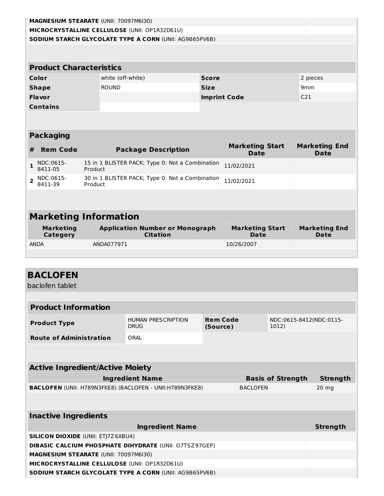|                                               | MAGNESIUM STEARATE (UNII: 70097M6I30)                  |         |                                                 |                                                           |              |                                       |                                     |  |  |  |
|-----------------------------------------------|--------------------------------------------------------|---------|-------------------------------------------------|-----------------------------------------------------------|--------------|---------------------------------------|-------------------------------------|--|--|--|
| MICROCRYSTALLINE CELLULOSE (UNII: OP1R32D61U) |                                                        |         |                                                 |                                                           |              |                                       |                                     |  |  |  |
|                                               | SODIUM STARCH GLYCOLATE TYPE A CORN (UNII: AG9B65PV6B) |         |                                                 |                                                           |              |                                       |                                     |  |  |  |
|                                               |                                                        |         |                                                 |                                                           |              |                                       |                                     |  |  |  |
|                                               | <b>Product Characteristics</b>                         |         |                                                 |                                                           |              |                                       |                                     |  |  |  |
|                                               | Color                                                  |         | white (off-white)                               |                                                           | <b>Score</b> |                                       | 2 pieces                            |  |  |  |
|                                               | <b>Shape</b>                                           |         | <b>ROUND</b>                                    |                                                           | <b>Size</b>  |                                       | 9mm                                 |  |  |  |
|                                               | <b>Flavor</b>                                          |         |                                                 |                                                           |              | <b>Imprint Code</b>                   | C <sub>21</sub>                     |  |  |  |
|                                               | <b>Contains</b>                                        |         |                                                 |                                                           |              |                                       |                                     |  |  |  |
|                                               |                                                        |         |                                                 |                                                           |              |                                       |                                     |  |  |  |
|                                               | <b>Packaging</b>                                       |         |                                                 |                                                           |              |                                       |                                     |  |  |  |
| #                                             | <b>Item Code</b>                                       |         |                                                 | <b>Package Description</b>                                |              | <b>Marketing Start</b><br><b>Date</b> | <b>Marketing End</b><br><b>Date</b> |  |  |  |
| $\mathbf{1}$                                  | NDC:0615-<br>8411-05                                   | Product |                                                 | 15 in 1 BLISTER PACK; Type 0: Not a Combination           |              | 11/02/2021                            |                                     |  |  |  |
| $\overline{2}$                                | NDC:0615-<br>8411-39                                   | Product | 30 in 1 BLISTER PACK; Type 0: Not a Combination |                                                           |              | 11/02/2021                            |                                     |  |  |  |
|                                               |                                                        |         |                                                 |                                                           |              |                                       |                                     |  |  |  |
|                                               | <b>Marketing Information</b>                           |         |                                                 |                                                           |              |                                       |                                     |  |  |  |
|                                               | <b>Marketing</b><br>Category                           |         |                                                 | <b>Application Number or Monograph</b><br><b>Citation</b> |              | <b>Marketing Start</b><br><b>Date</b> | <b>Marketing End</b><br><b>Date</b> |  |  |  |
|                                               | <b>ANDA</b>                                            |         | ANDA077971                                      |                                                           |              | 10/26/2007                            |                                     |  |  |  |

# **BACLOFEN**

L

baclofen tablet

| <b>Product Information</b>                                                  |                                          |                                       |  |  |                         |  |  |
|-----------------------------------------------------------------------------|------------------------------------------|---------------------------------------|--|--|-------------------------|--|--|
| <b>Product Type</b>                                                         | <b>HUMAN PRESCRIPTION</b><br><b>DRUG</b> | <b>Item Code</b><br>(Source)<br>1012) |  |  | NDC:0615-8412(NDC:0115- |  |  |
| <b>Route of Administration</b>                                              | ORAI                                     |                                       |  |  |                         |  |  |
|                                                                             |                                          |                                       |  |  |                         |  |  |
|                                                                             |                                          |                                       |  |  |                         |  |  |
| <b>Active Ingredient/Active Moiety</b>                                      |                                          |                                       |  |  |                         |  |  |
| <b>Ingredient Name</b><br><b>Strength</b><br><b>Basis of Strength</b>       |                                          |                                       |  |  |                         |  |  |
| BACLOFEN (UNII: H789N3FKE8) (BACLOFEN - UNII:H789N3FKE8)<br><b>BACLOFEN</b> |                                          |                                       |  |  | $20$ mg                 |  |  |
|                                                                             |                                          |                                       |  |  |                         |  |  |
|                                                                             |                                          |                                       |  |  |                         |  |  |
| <b>Inactive Ingredients</b>                                                 |                                          |                                       |  |  |                         |  |  |
|                                                                             | <b>Ingredient Name</b>                   |                                       |  |  | <b>Strength</b>         |  |  |
| <b>SILICON DIOXIDE (UNII: ETJ7Z6XBU4)</b>                                   |                                          |                                       |  |  |                         |  |  |
| <b>DIBASIC CALCIUM PHOSPHATE DIHYDRATE (UNII: O7TSZ97GEP)</b>               |                                          |                                       |  |  |                         |  |  |
| <b>MAGNESIUM STEARATE (UNII: 70097M6I30)</b>                                |                                          |                                       |  |  |                         |  |  |
| MICROCRYSTALLINE CELLULOSE (UNII: OP1R32D61U)                               |                                          |                                       |  |  |                         |  |  |
| <b>SODIUM STARCH GLYCOLATE TYPE A CORN (UNII: AG9B65PV6B)</b>               |                                          |                                       |  |  |                         |  |  |